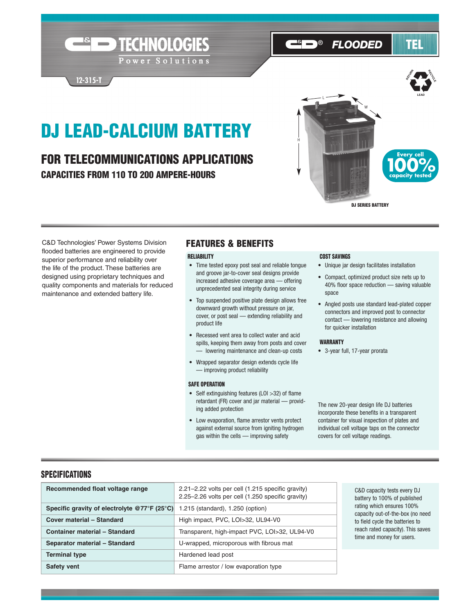# DJ LEAD-CALCIUM BATTERY

**Expediance TECHNOLOGIES** 

Power Solutions

# FOR TELECOMMUNICATIONS APPLICATIONS CAPACITIES FROM 110 TO 200 AMPERE-HOURS



**FLOODED** 

TEL

C&D Technologies' Power Systems Division flooded batteries are engineered to provide superior performance and reliability over the life of the product. These batteries are designed using proprietary techniques and quality components and materials for reduced maintenance and extended battery life.

**12-315-T**

## FEATURES & BENEFITS

#### RELIABILITY COST SAVINGS

- Time tested epoxy post seal and reliable tongue and groove jar-to-cover seal designs provide increased adhesive coverage area — offering unprecedented seal integrity during service
- Top suspended positive plate design allows free downward growth without pressure on jar, cover, or post seal — extending reliability and product life
- Recessed vent area to collect water and acid spills, keeping them away from posts and cover - lowering maintenance and clean-up costs
- Wrapped separator design extends cycle life — improving product reliability

#### SAFE OPERATION

- Self extinguishing features (LOI >32) of flame retardant (FR) cover and jar material — providing added protection
- Low evaporation, flame arrestor vents protect against external source from igniting hydrogen gas within the cells — improving safety

 $\Theta$ 

- Unique jar design facilitates installation
- Compact, optimized product size nets up to 40% floor space reduction — saving valuable space
- Angled posts use standard lead-plated copper connectors and improved post to connector contact — lowering resistance and allowing for quicker installation

#### WARRANTY

• 3-year full, 17-year prorata

The new 20-year design life DJ batteries incorporate these benefits in a transparent container for visual inspection of plates and individual cell voltage taps on the connector covers for cell voltage readings.

#### **SPECIFICATIONS**

| Recommended float voltage range              | 2.21–2.22 volts per cell (1.215 specific gravity)<br>2.25–2.26 volts per cell (1.250 specific gravity) | C&D capacity to<br>battery to 1009                    |  |  |
|----------------------------------------------|--------------------------------------------------------------------------------------------------------|-------------------------------------------------------|--|--|
| Specific gravity of electrolyte @77°F (25°C) | 1.215 (standard), 1.250 (option)                                                                       | rating which er<br>capacity out-of                    |  |  |
| Cover material - Standard                    | High impact, PVC, LOI>32, UL94-V0                                                                      | to field cycle th<br>reach rated cap<br>time and mone |  |  |
| <b>Container material - Standard</b>         | Transparent, high-impact PVC, LOI>32, UL94-V0                                                          |                                                       |  |  |
| Separator material - Standard                | U-wrapped, microporous with fibrous mat                                                                |                                                       |  |  |
| <b>Terminal type</b>                         | Hardened lead post                                                                                     |                                                       |  |  |
| <b>Safety vent</b>                           | Flame arrestor / low evaporation type                                                                  |                                                       |  |  |

ests every DJ  $6$  of published rating 100% -the-box (no need te batteries to bacity). This saves y for users.